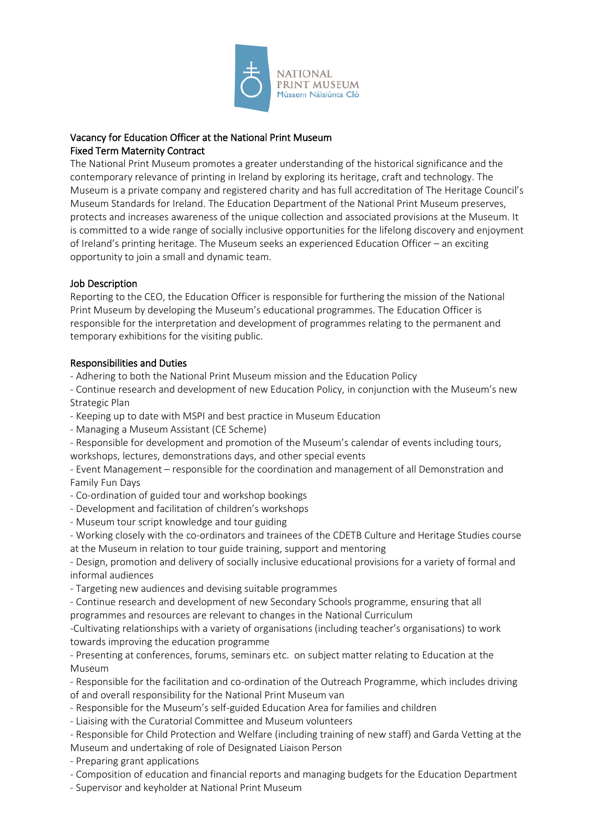

# Vacancy for Education Officer at the National Print Museum Fixed Term Maternity Contract

The National Print Museum promotes a greater understanding of the historical significance and the contemporary relevance of printing in Ireland by exploring its heritage, craft and technology. The Museum is a private company and registered charity and has full accreditation of The Heritage Council's Museum Standards for Ireland. The Education Department of the National Print Museum preserves, protects and increases awareness of the unique collection and associated provisions at the Museum. It is committed to a wide range of socially inclusive opportunities for the lifelong discovery and enjoyment of Ireland's printing heritage. The Museum seeks an experienced Education Officer – an exciting opportunity to join a small and dynamic team.

# Job Description

Reporting to the CEO, the Education Officer is responsible for furthering the mission of the National Print Museum by developing the Museum's educational programmes. The Education Officer is responsible for the interpretation and development of programmes relating to the permanent and temporary exhibitions for the visiting public.

# Responsibilities and Duties

- Adhering to both the National Print Museum mission and the Education Policy

- Continue research and development of new Education Policy, in conjunction with the Museum's new Strategic Plan

- Keeping up to date with MSPI and best practice in Museum Education
- Managing a Museum Assistant (CE Scheme)
- Responsible for development and promotion of the Museum's calendar of events including tours, workshops, lectures, demonstrations days, and other special events
- Event Management responsible for the coordination and management of all Demonstration and Family Fun Days
- Co-ordination of guided tour and workshop bookings
- Development and facilitation of children's workshops
- Museum tour script knowledge and tour guiding
- Working closely with the co-ordinators and trainees of the CDETB Culture and Heritage Studies course at the Museum in relation to tour guide training, support and mentoring

- Design, promotion and delivery of socially inclusive educational provisions for a variety of formal and informal audiences

- Targeting new audiences and devising suitable programmes
- Continue research and development of new Secondary Schools programme, ensuring that all programmes and resources are relevant to changes in the National Curriculum

-Cultivating relationships with a variety of organisations (including teacher's organisations) to work towards improving the education programme

- Presenting at conferences, forums, seminars etc. on subject matter relating to Education at the Museum

- Responsible for the facilitation and co-ordination of the Outreach Programme, which includes driving of and overall responsibility for the National Print Museum van

- Responsible for the Museum's self-guided Education Area for families and children
- Liaising with the Curatorial Committee and Museum volunteers
- Responsible for Child Protection and Welfare (including training of new staff) and Garda Vetting at the Museum and undertaking of role of Designated Liaison Person

- Preparing grant applications

- Composition of education and financial reports and managing budgets for the Education Department
- Supervisor and keyholder at National Print Museum